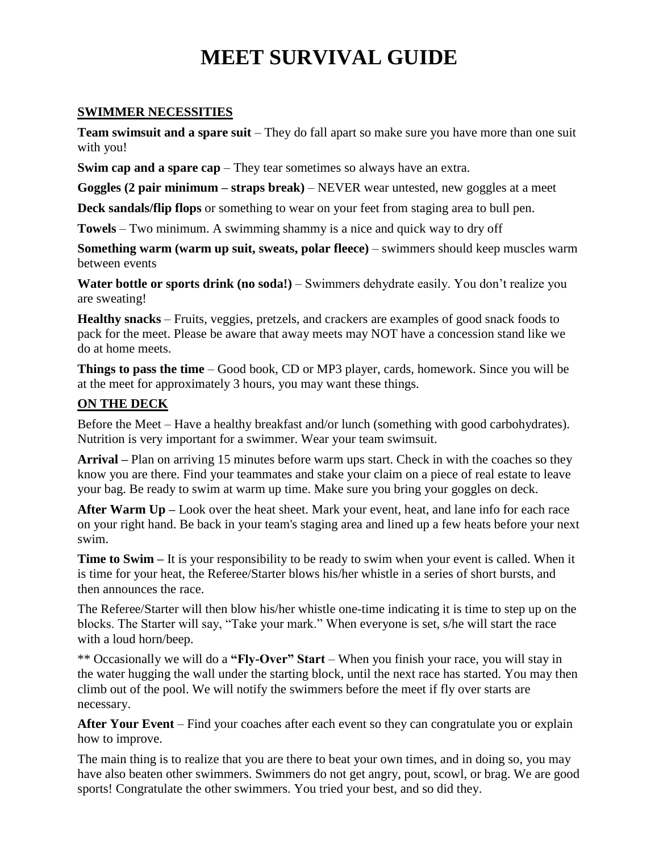# **MEET SURVIVAL GUIDE**

#### **SWIMMER NECESSITIES**

**Team swimsuit and a spare suit** – They do fall apart so make sure you have more than one suit with you!

**Swim cap and a spare cap** – They tear sometimes so always have an extra.

**Goggles (2 pair minimum – straps break)** – NEVER wear untested, new goggles at a meet

**Deck sandals/flip flops** or something to wear on your feet from staging area to bull pen.

**Towels** – Two minimum. A swimming shammy is a nice and quick way to dry off

**Something warm (warm up suit, sweats, polar fleece)** – swimmers should keep muscles warm between events

**Water bottle or sports drink (no soda!)** – Swimmers dehydrate easily. You don't realize you are sweating!

**Healthy snacks** – Fruits, veggies, pretzels, and crackers are examples of good snack foods to pack for the meet. Please be aware that away meets may NOT have a concession stand like we do at home meets.

**Things to pass the time** – Good book, CD or MP3 player, cards, homework. Since you will be at the meet for approximately 3 hours, you may want these things.

## **ON THE DECK**

Before the Meet – Have a healthy breakfast and/or lunch (something with good carbohydrates). Nutrition is very important for a swimmer. Wear your team swimsuit.

**Arrival –** Plan on arriving 15 minutes before warm ups start. Check in with the coaches so they know you are there. Find your teammates and stake your claim on a piece of real estate to leave your bag. Be ready to swim at warm up time. Make sure you bring your goggles on deck.

**After Warm Up –** Look over the heat sheet. Mark your event, heat, and lane info for each race on your right hand. Be back in your team's staging area and lined up a few heats before your next swim.

**Time to Swim –** It is your responsibility to be ready to swim when your event is called. When it is time for your heat, the Referee/Starter blows his/her whistle in a series of short bursts, and then announces the race.

The Referee/Starter will then blow his/her whistle one-time indicating it is time to step up on the blocks. The Starter will say, "Take your mark." When everyone is set, s/he will start the race with a loud horn/beep.

\*\* Occasionally we will do a **"Fly-Over" Start** – When you finish your race, you will stay in the water hugging the wall under the starting block, until the next race has started. You may then climb out of the pool. We will notify the swimmers before the meet if fly over starts are necessary.

**After Your Event** – Find your coaches after each event so they can congratulate you or explain how to improve.

The main thing is to realize that you are there to beat your own times, and in doing so, you may have also beaten other swimmers. Swimmers do not get angry, pout, scowl, or brag. We are good sports! Congratulate the other swimmers. You tried your best, and so did they.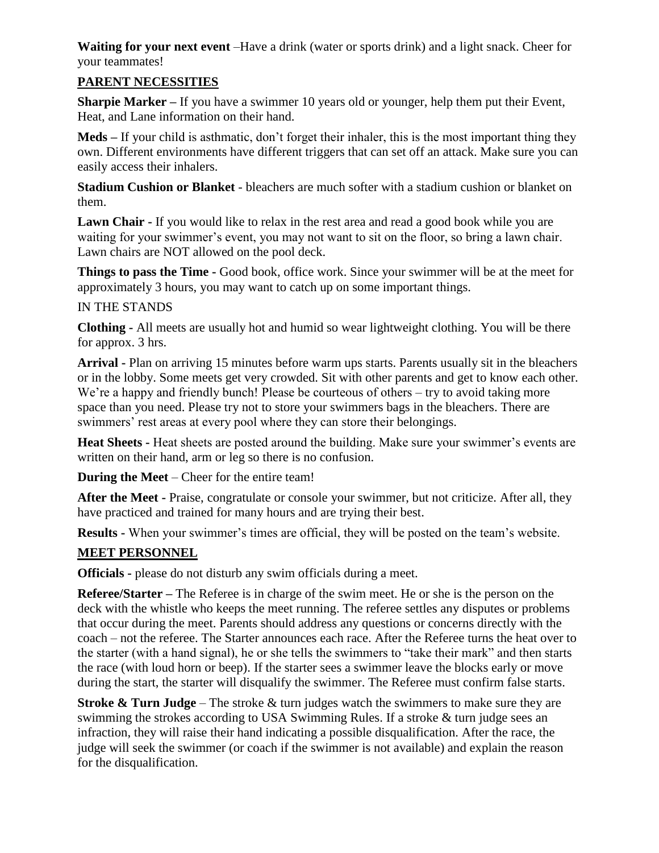**Waiting for your next event** –Have a drink (water or sports drink) and a light snack. Cheer for your teammates!

## **PARENT NECESSITIES**

**Sharpie Marker –** If you have a swimmer 10 years old or younger, help them put their Event, Heat, and Lane information on their hand.

**Meds –** If your child is asthmatic, don't forget their inhaler, this is the most important thing they own. Different environments have different triggers that can set off an attack. Make sure you can easily access their inhalers.

**Stadium Cushion or Blanket** - bleachers are much softer with a stadium cushion or blanket on them.

Lawn Chair - If you would like to relax in the rest area and read a good book while you are waiting for your swimmer's event, you may not want to sit on the floor, so bring a lawn chair. Lawn chairs are NOT allowed on the pool deck.

**Things to pass the Time -** Good book, office work. Since your swimmer will be at the meet for approximately 3 hours, you may want to catch up on some important things.

## IN THE STANDS

**Clothing -** All meets are usually hot and humid so wear lightweight clothing. You will be there for approx. 3 hrs.

**Arrival -** Plan on arriving 15 minutes before warm ups starts. Parents usually sit in the bleachers or in the lobby. Some meets get very crowded. Sit with other parents and get to know each other. We're a happy and friendly bunch! Please be courteous of others – try to avoid taking more space than you need. Please try not to store your swimmers bags in the bleachers. There are swimmers' rest areas at every pool where they can store their belongings.

**Heat Sheets -** Heat sheets are posted around the building. Make sure your swimmer's events are written on their hand, arm or leg so there is no confusion.

**During the Meet** – Cheer for the entire team!

**After the Meet -** Praise, congratulate or console your swimmer, but not criticize. After all, they have practiced and trained for many hours and are trying their best.

**Results -** When your swimmer's times are official, they will be posted on the team's website.

## **MEET PERSONNEL**

**Officials -** please do not disturb any swim officials during a meet.

**Referee/Starter –** The Referee is in charge of the swim meet. He or she is the person on the deck with the whistle who keeps the meet running. The referee settles any disputes or problems that occur during the meet. Parents should address any questions or concerns directly with the coach – not the referee. The Starter announces each race. After the Referee turns the heat over to the starter (with a hand signal), he or she tells the swimmers to "take their mark" and then starts the race (with loud horn or beep). If the starter sees a swimmer leave the blocks early or move during the start, the starter will disqualify the swimmer. The Referee must confirm false starts.

**Stroke & Turn Judge** – The stroke & turn judges watch the swimmers to make sure they are swimming the strokes according to USA Swimming Rules. If a stroke & turn judge sees an infraction, they will raise their hand indicating a possible disqualification. After the race, the judge will seek the swimmer (or coach if the swimmer is not available) and explain the reason for the disqualification.